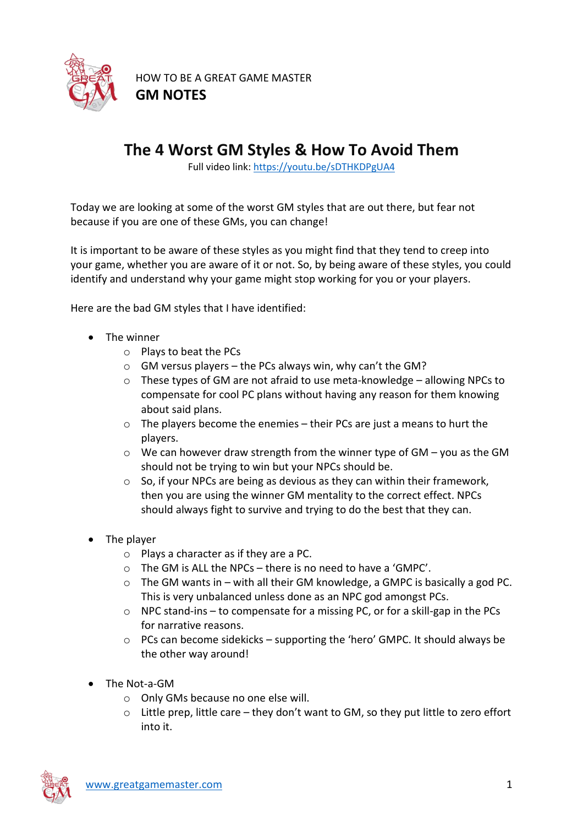

HOW TO BE A GREAT GAME MASTER **GM NOTES**

## **The 4 Worst GM Styles & How To Avoid Them**

Full video link[: https://youtu.be/sDTHKDPgUA4](https://youtu.be/sDTHKDPgUA4)

Today we are looking at some of the worst GM styles that are out there, but fear not because if you are one of these GMs, you can change!

It is important to be aware of these styles as you might find that they tend to creep into your game, whether you are aware of it or not. So, by being aware of these styles, you could identify and understand why your game might stop working for you or your players.

Here are the bad GM styles that I have identified:

- The winner
	- o Plays to beat the PCs
	- $\circ$  GM versus players the PCs always win, why can't the GM?
	- o These types of GM are not afraid to use meta-knowledge allowing NPCs to compensate for cool PC plans without having any reason for them knowing about said plans.
	- o The players become the enemies their PCs are just a means to hurt the players.
	- o We can however draw strength from the winner type of GM you as the GM should not be trying to win but your NPCs should be.
	- $\circ$  So, if your NPCs are being as devious as they can within their framework, then you are using the winner GM mentality to the correct effect. NPCs should always fight to survive and trying to do the best that they can.
- The player
	- o Plays a character as if they are a PC.
	- o The GM is ALL the NPCs there is no need to have a 'GMPC'.
	- $\circ$  The GM wants in with all their GM knowledge, a GMPC is basically a god PC. This is very unbalanced unless done as an NPC god amongst PCs.
	- $\circ$  NPC stand-ins to compensate for a missing PC, or for a skill-gap in the PCs for narrative reasons.
	- $\circ$  PCs can become sidekicks supporting the 'hero' GMPC. It should always be the other way around!
- The Not-a-GM
	- o Only GMs because no one else will.
	- $\circ$  Little prep, little care they don't want to GM, so they put little to zero effort into it.